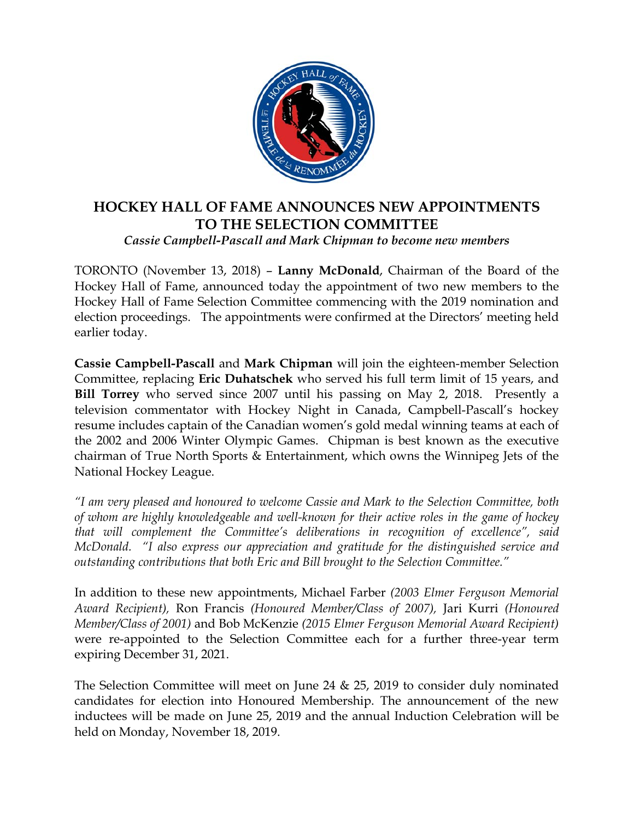

## **HOCKEY HALL OF FAME ANNOUNCES NEW APPOINTMENTS TO THE SELECTION COMMITTEE**  *Cassie Campbell-Pascall and Mark Chipman to become new members*

TORONTO (November 13, 2018) – **Lanny McDonald**, Chairman of the Board of the Hockey Hall of Fame, announced today the appointment of two new members to the Hockey Hall of Fame Selection Committee commencing with the 2019 nomination and election proceedings. The appointments were confirmed at the Directors' meeting held earlier today.

**Cassie Campbell-Pascall** and **Mark Chipman** will join the eighteen-member Selection Committee, replacing **Eric Duhatschek** who served his full term limit of 15 years, and **Bill Torrey** who served since 2007 until his passing on May 2, 2018. Presently a television commentator with Hockey Night in Canada, Campbell-Pascall's hockey resume includes captain of the Canadian women's gold medal winning teams at each of the 2002 and 2006 Winter Olympic Games. Chipman is best known as the executive chairman of True North Sports & Entertainment, which owns the Winnipeg Jets of the National Hockey League.

*"I am very pleased and honoured to welcome Cassie and Mark to the Selection Committee, both of whom are highly knowledgeable and well-known for their active roles in the game of hockey that will complement the Committee's deliberations in recognition of excellence", said McDonald. "I also express our appreciation and gratitude for the distinguished service and outstanding contributions that both Eric and Bill brought to the Selection Committee."* 

In addition to these new appointments, Michael Farber *(2003 Elmer Ferguson Memorial Award Recipient),* Ron Francis *(Honoured Member/Class of 2007),* Jari Kurri *(Honoured Member/Class of 2001)* and Bob McKenzie *(2015 Elmer Ferguson Memorial Award Recipient)*  were re-appointed to the Selection Committee each for a further three-year term expiring December 31, 2021.

The Selection Committee will meet on June 24 & 25, 2019 to consider duly nominated candidates for election into Honoured Membership. The announcement of the new inductees will be made on June 25, 2019 and the annual Induction Celebration will be held on Monday, November 18, 2019.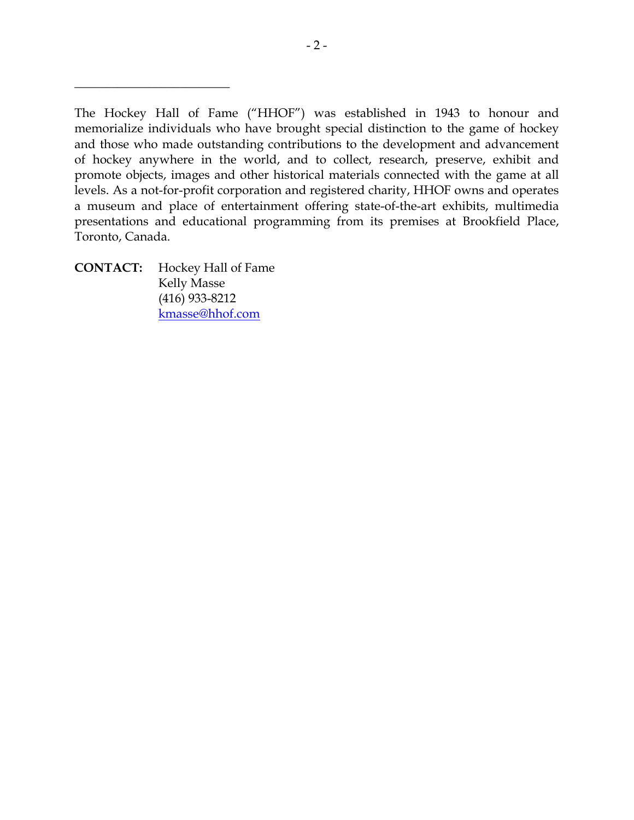The Hockey Hall of Fame ("HHOF") was established in 1943 to honour and memorialize individuals who have brought special distinction to the game of hockey and those who made outstanding contributions to the development and advancement of hockey anywhere in the world, and to collect, research, preserve, exhibit and promote objects, images and other historical materials connected with the game at all levels. As a not-for-profit corporation and registered charity, HHOF owns and operates a museum and place of entertainment offering state-of-the-art exhibits, multimedia presentations and educational programming from its premises at Brookfield Place, Toronto, Canada.

**CONTACT:** Hockey Hall of Fame Kelly Masse (416) 933-8212 kmasse@hhof.com

\_\_\_\_\_\_\_\_\_\_\_\_\_\_\_\_\_\_\_\_\_\_\_\_\_